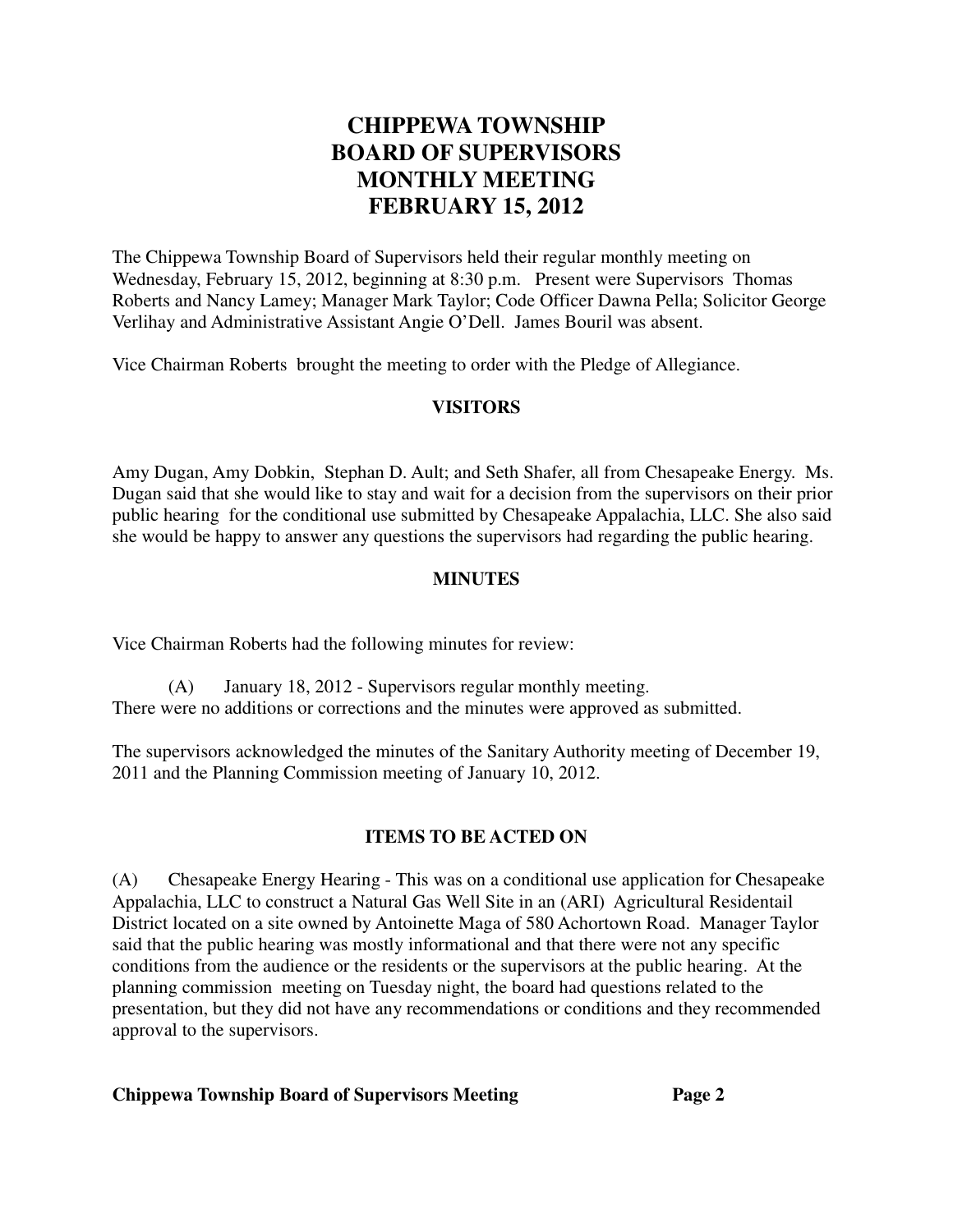# **CHIPPEWA TOWNSHIP BOARD OF SUPERVISORS MONTHLY MEETING FEBRUARY 15, 2012**

The Chippewa Township Board of Supervisors held their regular monthly meeting on Wednesday, February 15, 2012, beginning at 8:30 p.m. Present were Supervisors Thomas Roberts and Nancy Lamey; Manager Mark Taylor; Code Officer Dawna Pella; Solicitor George Verlihay and Administrative Assistant Angie O'Dell. James Bouril was absent.

Vice Chairman Roberts brought the meeting to order with the Pledge of Allegiance.

#### **VISITORS**

Amy Dugan, Amy Dobkin, Stephan D. Ault; and Seth Shafer, all from Chesapeake Energy. Ms. Dugan said that she would like to stay and wait for a decision from the supervisors on their prior public hearing for the conditional use submitted by Chesapeake Appalachia, LLC. She also said she would be happy to answer any questions the supervisors had regarding the public hearing.

#### **MINUTES**

Vice Chairman Roberts had the following minutes for review:

(A) January 18, 2012 - Supervisors regular monthly meeting. There were no additions or corrections and the minutes were approved as submitted.

The supervisors acknowledged the minutes of the Sanitary Authority meeting of December 19, 2011 and the Planning Commission meeting of January 10, 2012.

#### **ITEMS TO BE ACTED ON**

(A) Chesapeake Energy Hearing - This was on a conditional use application for Chesapeake Appalachia, LLC to construct a Natural Gas Well Site in an (ARI) Agricultural Residentail District located on a site owned by Antoinette Maga of 580 Achortown Road. Manager Taylor said that the public hearing was mostly informational and that there were not any specific conditions from the audience or the residents or the supervisors at the public hearing. At the planning commission meeting on Tuesday night, the board had questions related to the presentation, but they did not have any recommendations or conditions and they recommended approval to the supervisors.

#### **Chippewa Township Board of Supervisors Meeting Page 2**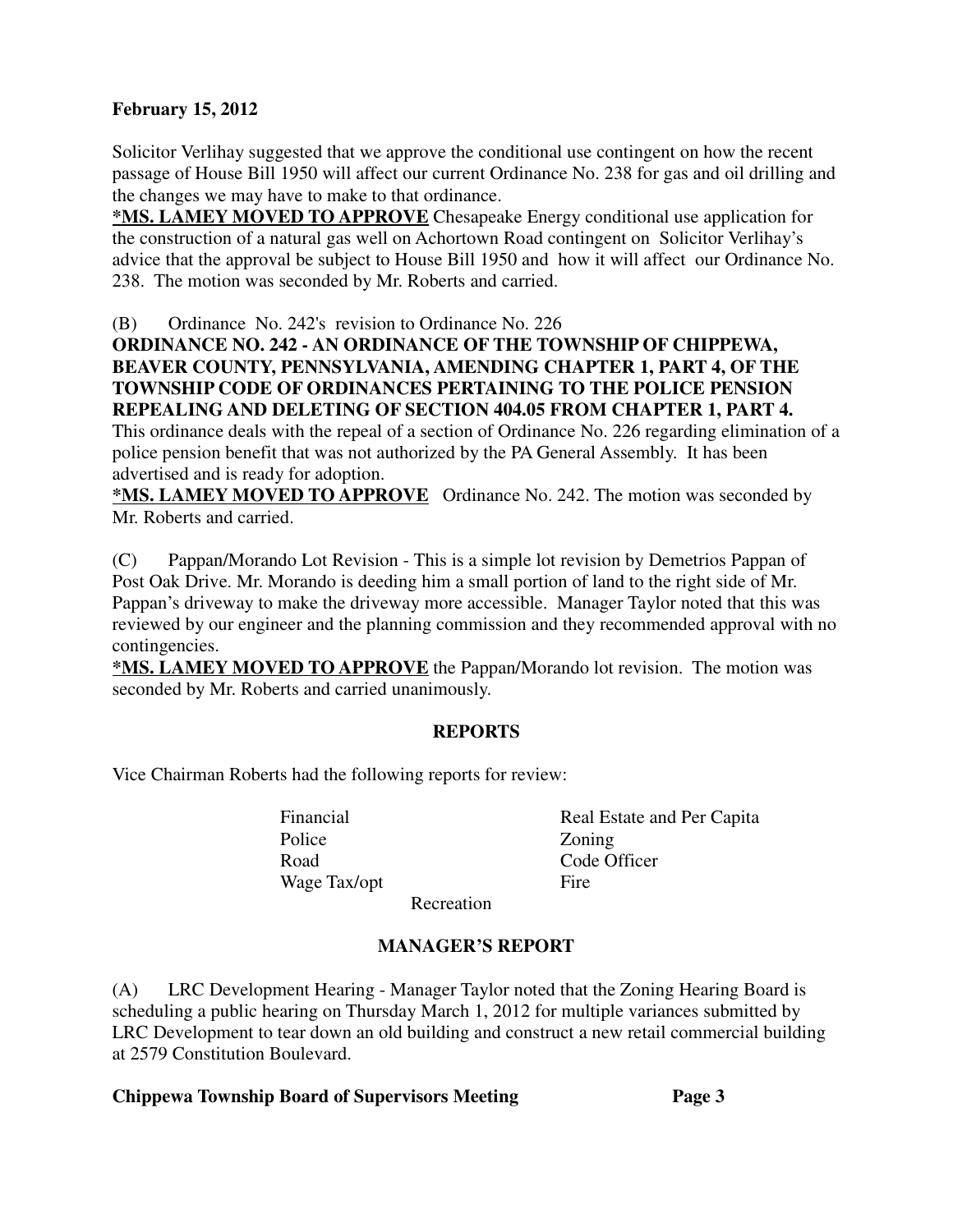#### **February 15, 2012**

Solicitor Verlihay suggested that we approve the conditional use contingent on how the recent passage of House Bill 1950 will affect our current Ordinance No. 238 for gas and oil drilling and the changes we may have to make to that ordinance.

**\*MS. LAMEY MOVED TO APPROVE** Chesapeake Energy conditional use application for the construction of a natural gas well on Achortown Road contingent on Solicitor Verlihay's advice that the approval be subject to House Bill 1950 and how it will affect our Ordinance No. 238. The motion was seconded by Mr. Roberts and carried.

(B) Ordinance No. 242's revision to Ordinance No. 226

### **ORDINANCE NO. 242 - AN ORDINANCE OF THE TOWNSHIP OF CHIPPEWA, BEAVER COUNTY, PENNSYLVANIA, AMENDING CHAPTER 1, PART 4, OF THE TOWNSHIP CODE OF ORDINANCES PERTAINING TO THE POLICE PENSION REPEALING AND DELETING OF SECTION 404.05 FROM CHAPTER 1, PART 4.**

This ordinance deals with the repeal of a section of Ordinance No. 226 regarding elimination of a police pension benefit that was not authorized by the PA General Assembly. It has been advertised and is ready for adoption.

**\*MS. LAMEY MOVED TO APPROVE** Ordinance No. 242. The motion was seconded by Mr. Roberts and carried.

(C) Pappan/Morando Lot Revision - This is a simple lot revision by Demetrios Pappan of Post Oak Drive. Mr. Morando is deeding him a small portion of land to the right side of Mr. Pappan's driveway to make the driveway more accessible. Manager Taylor noted that this was reviewed by our engineer and the planning commission and they recommended approval with no contingencies.

**\*MS. LAMEY MOVED TO APPROVE** the Pappan/Morando lot revision. The motion was seconded by Mr. Roberts and carried unanimously.

#### **REPORTS**

Vice Chairman Roberts had the following reports for review:

Police **Zoning** Road Code Officer Wage Tax/opt Fire

Financial Real Estate and Per Capita

Recreation

### **MANAGER'S REPORT**

(A) LRC Development Hearing - Manager Taylor noted that the Zoning Hearing Board is scheduling a public hearing on Thursday March 1, 2012 for multiple variances submitted by LRC Development to tear down an old building and construct a new retail commercial building at 2579 Constitution Boulevard.

#### **Chippewa Township Board of Supervisors Meeting Page 3**